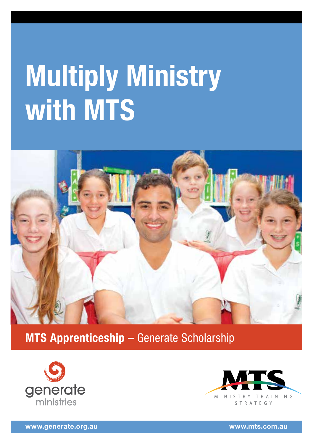# **Multiply Ministry with MTS**



**MTS Apprenticeship –** Generate Scholarship





**www.generate.org.au www.mts.com.au**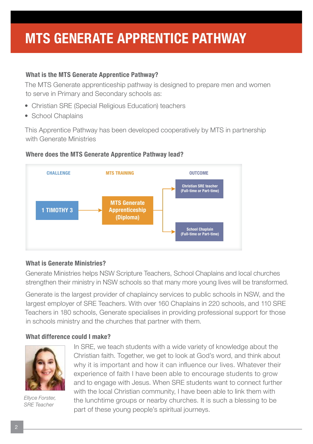### **MTS GENERATE APPRENTICE PATHWAY**

#### **What is the MTS Generate Apprentice Pathway?**

The MTS Generate apprenticeship pathway is designed to prepare men and women to serve in Primary and Secondary schools as:

- Christian SRE (Special Religious Education) teachers
- School Chaplains

This Apprentice Pathway has been developed cooperatively by MTS in partnership with Generate Ministries

#### **Where does the MTS Generate Apprentice Pathway lead?**



#### **What is Generate Ministries?**

Generate Ministries helps NSW Scripture Teachers, School Chaplains and local churches strengthen their ministry in NSW schools so that many more young lives will be transformed.

Generate is the largest provider of chaplaincy services to public schools in NSW, and the largest employer of SRE Teachers. With over 160 Chaplains in 220 schools, and 110 SRE Teachers in 180 schools, Generate specialises in providing professional support for those in schools ministry and the churches that partner with them.

#### **What difference could I make?**



*Ellyce Forster, SRE Teacher*

In SRE, we teach students with a wide variety of knowledge about the Christian faith. Together, we get to look at God's word, and think about why it is important and how it can infuence our lives. Whatever their experience of faith I have been able to encourage students to grow and to engage with Jesus. When SRE students want to connect further with the local Christian community, I have been able to link them with the lunchtime groups or nearby churches. It is such a blessing to be part of these young people's spiritual journeys.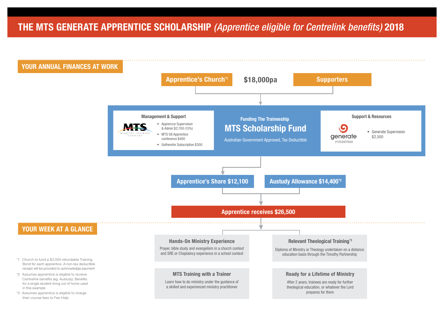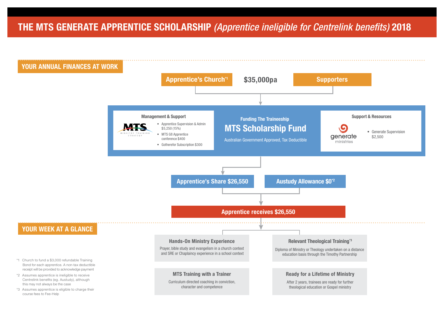### **THE MTS GENERATE APPRENTICE SCHOLARSHIP** *(Apprentice ineligible for Centrelink benefits)* **2018**

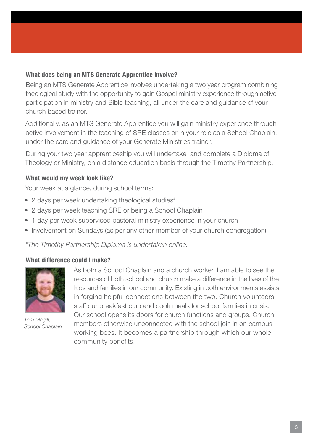#### **What does being an MTS Generate Apprentice involve?**

Being an MTS Generate Apprentice involves undertaking a two year program combining theological study with the opportunity to gain Gospel ministry experience through active participation in ministry and Bible teaching, all under the care and guidance of your church based trainer.

Additionally, as an MTS Generate Apprentice you will gain ministry experience through active involvement in the teaching of SRE classes or in your role as a School Chaplain, under the care and guidance of your Generate Ministries trainer.

During your two year apprenticeship you will undertake and complete a Diploma of Theology or Ministry, on a distance education basis through the Timothy Partnership.

#### **What would my week look like?**

Your week at a glance, during school terms:

- 2 days per week undertaking theological studies<sup>#</sup>
- 2 days per week teaching SRE or being a School Chaplain
- 1 day per week supervised pastoral ministry experience in your church
- Involvement on Sundays (as per any other member of your church congregation)

*# The Timothy Partnership Diploma is undertaken online.*

#### **What difference could I make?**



*Tom Magill, School Chaplain* 

As both a School Chaplain and a church worker, I am able to see the resources of both school and church make a diference in the lives of the kids and families in our community. Existing in both environments assists in forging helpful connections between the two. Church volunteers staff our breakfast club and cook meals for school families in crisis. Our school opens its doors for church functions and groups. Church members otherwise unconnected with the school join in on campus working bees. It becomes a partnership through which our whole community benefits.